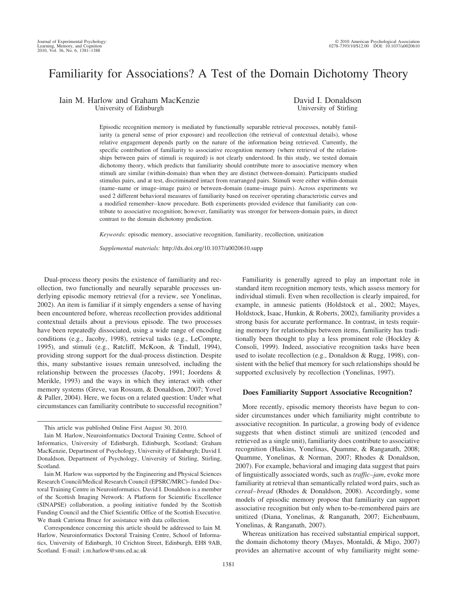# Familiarity for Associations? A Test of the Domain Dichotomy Theory

Iain M. Harlow and Graham MacKenzie University of Edinburgh

David I. Donaldson University of Stirling

Episodic recognition memory is mediated by functionally separable retrieval processes, notably familiarity (a general sense of prior exposure) and recollection (the retrieval of contextual details), whose relative engagement depends partly on the nature of the information being retrieved. Currently, the specific contribution of familiarity to associative recognition memory (where retrieval of the relationships between pairs of stimuli is required) is not clearly understood. In this study, we tested domain dichotomy theory, which predicts that familiarity should contribute more to associative memory when stimuli are similar (within-domain) than when they are distinct (between-domain). Participants studied stimulus pairs, and at test, discriminated intact from rearranged pairs. Stimuli were either within-domain (name–name or image–image pairs) or between-domain (name–image pairs). Across experiments we used 2 different behavioral measures of familiarity based on receiver operating characteristic curves and a modified remember– know procedure. Both experiments provided evidence that familiarity can contribute to associative recognition; however, familiarity was stronger for between-domain pairs, in direct contrast to the domain dichotomy prediction.

*Keywords:* episodic memory, associative recognition, familiarity, recollection, unitization

*Supplemental materials:* http://dx.doi.org/10.1037/a0020610.supp

Dual-process theory posits the existence of familiarity and recollection, two functionally and neurally separable processes underlying episodic memory retrieval (for a review, see Yonelinas, 2002). An item is familiar if it simply engenders a sense of having been encountered before, whereas recollection provides additional contextual details about a previous episode. The two processes have been repeatedly dissociated, using a wide range of encoding conditions (e.g., Jacoby, 1998), retrieval tasks (e.g., LeCompte, 1995), and stimuli (e.g., Ratcliff, McKoon, & Tindall, 1994), providing strong support for the dual-process distinction. Despite this, many substantive issues remain unresolved, including the relationship between the processes (Jacoby, 1991; Joordens & Merikle, 1993) and the ways in which they interact with other memory systems (Greve, van Rossum, & Donaldson, 2007; Yovel & Paller, 2004). Here, we focus on a related question: Under what circumstances can familiarity contribute to successful recognition?

Correspondence concerning this article should be addressed to Iain M. Harlow, Neuroinformatics Doctoral Training Centre, School of Informatics, University of Edinburgh, 10 Crichton Street, Edinburgh, EH8 9AB, Scotland. E-mail: i.m.harlow@sms.ed.ac.uk

Familiarity is generally agreed to play an important role in standard item recognition memory tests, which assess memory for individual stimuli. Even when recollection is clearly impaired, for example, in amnesic patients (Holdstock et al., 2002; Mayes, Holdstock, Isaac, Hunkin, & Roberts, 2002), familiarity provides a strong basis for accurate performance. In contrast, in tests requiring memory for relationships between items, familiarity has traditionally been thought to play a less prominent role (Hockley & Consoli, 1999). Indeed, associative recognition tasks have been used to isolate recollection (e.g., Donaldson & Rugg, 1998), consistent with the belief that memory for such relationships should be supported exclusively by recollection (Yonelinas, 1997).

## **Does Familiarity Support Associative Recognition?**

More recently, episodic memory theorists have begun to consider circumstances under which familiarity might contribute to associative recognition. In particular, a growing body of evidence suggests that when distinct stimuli are unitized (encoded and retrieved as a single unit), familiarity does contribute to associative recognition (Haskins, Yonelinas, Quamme, & Ranganath, 2008; Quamme, Yonelinas, & Norman, 2007; Rhodes & Donaldson, 2007). For example, behavioral and imaging data suggest that pairs of linguistically associated words, such as *traffic–jam*, evoke more familiarity at retrieval than semantically related word pairs, such as *cereal– bread* (Rhodes & Donaldson, 2008). Accordingly, some models of episodic memory propose that familiarity can support associative recognition but only when to-be-remembered pairs are unitized (Diana, Yonelinas, & Ranganath, 2007; Eichenbaum, Yonelinas, & Ranganath, 2007).

Whereas unitization has received substantial empirical support, the domain dichotomy theory (Mayes, Montaldi, & Migo, 2007) provides an alternative account of why familiarity might some-

This article was published Online First August 30, 2010.

Iain M. Harlow, Neuroinformatics Doctoral Training Centre, School of Informatics, University of Edinburgh, Edinburgh, Scotland; Graham MacKenzie, Department of Psychology, University of Edinburgh; David I. Donaldson, Department of Psychology, University of Stirling, Stirling, Scotland.

Iain M. Harlow was supported by the Engineering and Physical Sciences Research Council/Medical Research Council (EPSRC/MRC)–funded Doctoral Training Centre in Neuroinformatics. David I. Donaldson is a member of the Scottish Imaging Network: A Platform for Scientific Excellence (SINAPSE) collaboration, a pooling initiative funded by the Scottish Funding Council and the Chief Scientific Office of the Scottish Executive. We thank Catriona Bruce for assistance with data collection.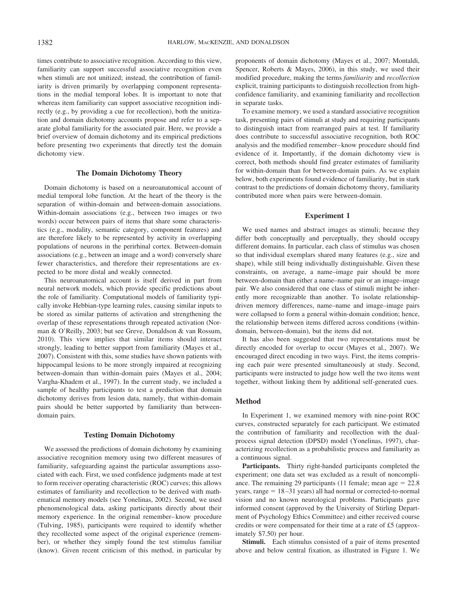times contribute to associative recognition. According to this view, familiarity can support successful associative recognition even when stimuli are not unitized; instead, the contribution of familiarity is driven primarily by overlapping component representations in the medial temporal lobes. It is important to note that whereas item familiarity can support associative recognition indirectly (e.g., by providing a cue for recollection), both the unitization and domain dichotomy accounts propose and refer to a separate global familiarity for the associated pair. Here, we provide a brief overview of domain dichotomy and its empirical predictions before presenting two experiments that directly test the domain dichotomy view.

## **The Domain Dichotomy Theory**

Domain dichotomy is based on a neuroanatomical account of medial temporal lobe function. At the heart of the theory is the separation of within-domain and between-domain associations. Within-domain associations (e.g., between two images or two words) occur between pairs of items that share some characteristics (e.g., modality, semantic category, component features) and are therefore likely to be represented by activity in overlapping populations of neurons in the perirhinal cortex. Between-domain associations (e.g., between an image and a word) conversely share fewer characteristics, and therefore their representations are expected to be more distal and weakly connected.

This neuroanatomical account is itself derived in part from neural network models, which provide specific predictions about the role of familiarity. Computational models of familiarity typically invoke Hebbian-type learning rules, causing similar inputs to be stored as similar patterns of activation and strengthening the overlap of these representations through repeated activation (Norman & O'Reilly, 2003; but see Greve, Donaldson & van Rossum, 2010). This view implies that similar items should interact strongly, leading to better support from familiarity (Mayes et al., 2007). Consistent with this, some studies have shown patients with hippocampal lesions to be more strongly impaired at recognizing between-domain than within-domain pairs (Mayes et al., 2004; Vargha-Khadem et al., 1997). In the current study, we included a sample of healthy participants to test a prediction that domain dichotomy derives from lesion data, namely, that within-domain pairs should be better supported by familiarity than betweendomain pairs.

#### **Testing Domain Dichotomy**

We assessed the predictions of domain dichotomy by examining associative recognition memory using two different measures of familiarity, safeguarding against the particular assumptions associated with each. First, we used confidence judgments made at test to form receiver operating characteristic (ROC) curves; this allows estimates of familiarity and recollection to be derived with mathematical memory models (see Yonelinas, 2002). Second, we used phenomenological data, asking participants directly about their memory experience. In the original remember– know procedure (Tulving, 1985), participants were required to identify whether they recollected some aspect of the original experience (remember), or whether they simply found the test stimulus familiar (know). Given recent criticism of this method, in particular by proponents of domain dichotomy (Mayes et al., 2007; Montaldi, Spencer, Roberts & Mayes, 2006), in this study, we used their modified procedure, making the terms *familiarity* and *recollection* explicit, training participants to distinguish recollection from highconfidence familiarity, and examining familiarity and recollection in separate tasks.

To examine memory, we used a standard associative recognition task, presenting pairs of stimuli at study and requiring participants to distinguish intact from rearranged pairs at test. If familiarity does contribute to successful associative recognition, both ROC analysis and the modified remember– know procedure should find evidence of it. Importantly, if the domain dichotomy view is correct, both methods should find greater estimates of familiarity for within-domain than for between-domain pairs. As we explain below, both experiments found evidence of familiarity, but in stark contrast to the predictions of domain dichotomy theory, familiarity contributed more when pairs were between-domain.

#### **Experiment 1**

We used names and abstract images as stimuli; because they differ both conceptually and perceptually, they should occupy different domains. In particular, each class of stimulus was chosen so that individual exemplars shared many features (e.g., size and shape), while still being individually distinguishable. Given these constraints, on average, a name–image pair should be more between-domain than either a name–name pair or an image–image pair. We also considered that one class of stimuli might be inherently more recognizable than another. To isolate relationshipdriven memory differences, name–name and image–image pairs were collapsed to form a general within-domain condition; hence, the relationship between items differed across conditions (withindomain, between-domain), but the items did not.

It has also been suggested that two representations must be directly encoded for overlap to occur (Mayes et al., 2007). We encouraged direct encoding in two ways. First, the items comprising each pair were presented simultaneously at study. Second, participants were instructed to judge how well the two items went together, without linking them by additional self-generated cues.

## **Method**

In Experiment 1, we examined memory with nine-point ROC curves, constructed separately for each participant. We estimated the contribution of familiarity and recollection with the dualprocess signal detection (DPSD) model (Yonelinas, 1997), characterizing recollection as a probabilistic process and familiarity as a continuous signal.

**Participants.** Thirty right-handed participants completed the experiment; one data set was excluded as a result of noncompliance. The remaining 29 participants (11 female; mean age  $= 22.8$ ) years, range  $= 18 - 31$  years) all had normal or corrected-to-normal vision and no known neurological problems. Participants gave informed consent (approved by the University of Stirling Department of Psychology Ethics Committee) and either received course credits or were compensated for their time at a rate of £5 (approximately \$7.50) per hour.

**Stimuli.** Each stimulus consisted of a pair of items presented above and below central fixation, as illustrated in Figure 1. We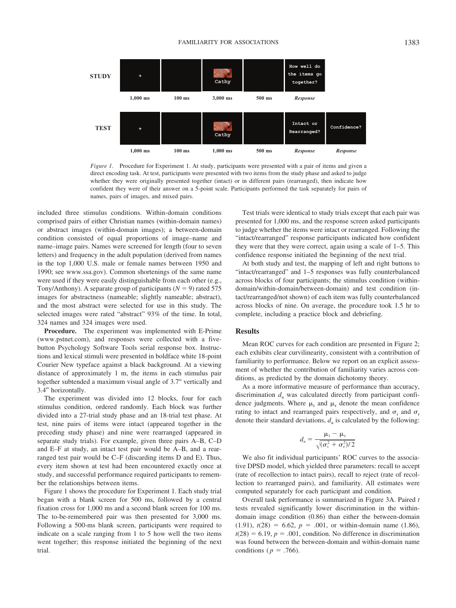#### FAMILIARITY FOR ASSOCIATIONS 1383



*Figure 1.* Procedure for Experiment 1. At study, participants were presented with a pair of items and given a direct encoding task. At test, participants were presented with two items from the study phase and asked to judge whether they were originally presented together (intact) or in different pairs (rearranged), then indicate how confident they were of their answer on a 5-point scale. Participants performed the task separately for pairs of names, pairs of images, and mixed pairs.

included three stimulus conditions. Within-domain conditions comprised pairs of either Christian names (within-domain names) or abstract images (within-domain images); a between-domain condition consisted of equal proportions of image–name and name–image pairs. Names were screened for length (four to seven letters) and frequency in the adult population (derived from names in the top 1,000 U.S. male or female names between 1950 and 1990; see www.ssa.gov). Common shortenings of the same name were used if they were easily distinguishable from each other (e.g., Tony/Anthony). A separate group of participants  $(N = 9)$  rated 575 images for abstractness (nameable; slightly nameable; abstract), and the most abstract were selected for use in this study. The selected images were rated "abstract" 93% of the time. In total, 324 names and 324 images were used.

**Procedure.** The experiment was implemented with E-Prime (www.pstnet.com), and responses were collected with a fivebutton Psychology Software Tools serial response box. Instructions and lexical stimuli were presented in boldface white 18-point Courier New typeface against a black background. At a viewing distance of approximately 1 m, the items in each stimulus pair together subtended a maximum visual angle of 3.7° vertically and 3.4° horizontally.

The experiment was divided into 12 blocks, four for each stimulus condition, ordered randomly. Each block was further divided into a 27-trial study phase and an 18-trial test phase. At test, nine pairs of items were intact (appeared together in the preceding study phase) and nine were rearranged (appeared in separate study trials). For example, given three pairs A–B, C–D and E–F at study, an intact test pair would be A–B, and a rearranged test pair would be C–F (discarding items D and E). Thus, every item shown at test had been encountered exactly once at study, and successful performance required participants to remember the relationships between items.

Figure 1 shows the procedure for Experiment 1. Each study trial began with a blank screen for 500 ms, followed by a central fixation cross for 1,000 ms and a second blank screen for 100 ms. The to-be-remembered pair was then presented for 3,000 ms. Following a 500-ms blank screen, participants were required to indicate on a scale ranging from 1 to 5 how well the two items went together; this response initiated the beginning of the next trial.

Test trials were identical to study trials except that each pair was presented for 1,000 ms, and the response screen asked participants to judge whether the items were intact or rearranged. Following the "intact/rearranged" response participants indicated how confident they were that they were correct, again using a scale of 1–5. This confidence response initiated the beginning of the next trial.

At both study and test, the mapping of left and right buttons to "intact/rearranged" and 1–5 responses was fully counterbalanced across blocks of four participants; the stimulus condition (withindomain/within-domain/between-domain) and test condition (intact/rearranged/not shown) of each item was fully counterbalanced across blocks of nine. On average, the procedure took 1.5 hr to complete, including a practice block and debriefing.

# **Results**

Mean ROC curves for each condition are presented in Figure 2; each exhibits clear curvilinearity, consistent with a contribution of familiarity to performance. Below we report on an explicit assessment of whether the contribution of familiarity varies across conditions, as predicted by the domain dichotomy theory.

As a more informative measure of performance than accuracy, discrimination  $d_a$  was calculated directly from participant confidence judgments. Where  $\mu_i$  and  $\mu_r$  denote the mean confidence rating to intact and rearranged pairs respectively, and  $\sigma_i$  and  $\sigma_r$ denote their standard deviations,  $d_a$  is calculated by the following:

$$
d_a = \frac{\mu_i - \mu_r}{\sqrt{(\sigma_i^2 + \sigma_r^2)/2}}
$$

We also fit individual participants' ROC curves to the associative DPSD model, which yielded three parameters: recall to accept (rate of recollection to intact pairs), recall to reject (rate of recollection to rearranged pairs), and familiarity. All estimates were computed separately for each participant and condition.

Overall task performance is summarized in Figure 3A. Paired *t* tests revealed significantly lower discrimination in the withindomain image condition (0.86) than either the between-domain  $(1.91)$ ,  $t(28) = 6.62$ ,  $p = .001$ , or within-domain name (1.86),  $t(28) = 6.19$ ,  $p = .001$ , condition. No difference in discrimination was found between the between-domain and within-domain name conditions ( $p = .766$ ).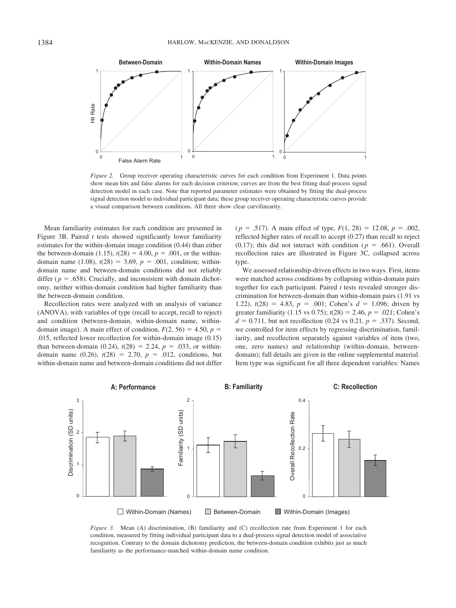

*Figure 2.* Group receiver operating characteristic curves for each condition from Experiment 1. Data points show mean hits and false alarms for each decision criterion; curves are from the best fitting dual-process signal detection model in each case. Note that reported parameter estimates were obtained by fitting the dual-process signal detection model to individual participant data; these group receiver operating characteristic curves provide a visual comparison between conditions. All three show clear curvilinearity.

Mean familiarity estimates for each condition are presented in Figure 3B. Paired *t* tests showed significantly lower familiarity estimates for the within-domain image condition (0.44) than either the between-domain (1.15),  $t(28) = 4.00$ ,  $p = .001$ , or the withindomain name (1.08),  $t(28) = 3.69$ ,  $p = .001$ , condition; withindomain name and between-domain conditions did not reliably differ ( $p = .658$ ). Crucially, and inconsistent with domain dichotomy, neither within-domain condition had higher familiarity than the between-domain condition.

Recollection rates were analyzed with an analysis of variance (ANOVA), with variables of type (recall to accept, recall to reject) and condition (between-domain, within-domain name, withindomain image). A main effect of condition,  $F(2, 56) = 4.50$ ,  $p =$ .015, reflected lower recollection for within-domain image (0.15) than between-domain (0.24),  $t(28) = 2.24$ ,  $p = .033$ , or withindomain name (0.26),  $t(28) = 2.70$ ,  $p = .012$ , conditions, but within-domain name and between-domain conditions did not differ  $(p = .517)$ . A main effect of type,  $F(1, 28) = 12.08$ ,  $p = .002$ , reflected higher rates of recall to accept (0.27) than recall to reject (0.17); this did not interact with condition ( $p = .661$ ). Overall recollection rates are illustrated in Figure 3C, collapsed across type.

We assessed relationship-driven effects in two ways. First, items were matched across conditions by collapsing within-domain pairs together for each participant. Paired *t* tests revealed stronger discrimination for between-domain than within-domain pairs (1.91 vs 1.22),  $t(28) = 4.83$ ,  $p = .001$ ; Cohen's  $d = 1.096$ ; driven by greater familiarity (1.15 vs 0.75);  $t(28) = 2.46$ ,  $p = .021$ ; Cohen's  $d = 0.711$ , but not recollection (0.24 vs 0.21,  $p = .337$ ). Second, we controlled for item effects by regressing discrimination, familiarity, and recollection separately against variables of item (two, one, zero names) and relationship (within-domain, betweendomain); full details are given in the online supplemental material. Item type was significant for all three dependent variables: Names



*Figure 3.* Mean (A) discrimination, (B) familiarity and (C) recollection rate from Experiment 1 for each condition, measured by fitting individual participant data to a dual-process signal detection model of associative recognition. Contrary to the domain dichotomy prediction, the between-domain condition exhibits just as much familiarity as the performance-matched within-domain name condition.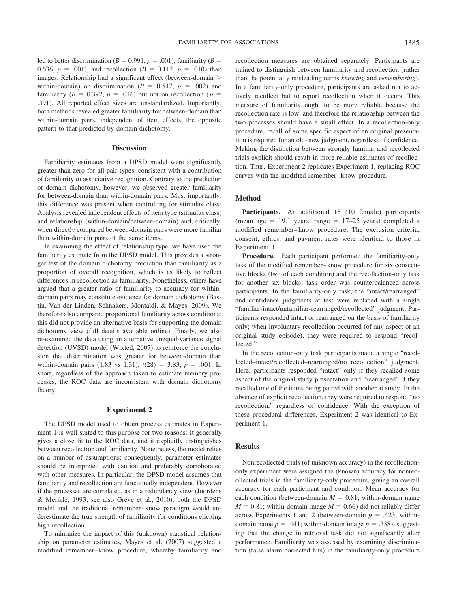led to better discrimination ( $B = 0.991$ ,  $p = .001$ ), familiarity ( $B =$ 0.636,  $p = .001$ ), and recollection ( $B = 0.112$ ,  $p = .010$ ) than images. Relationship had a significant effect (between-domain within-domain) on discrimination ( $B = 0.547$ ,  $p = .002$ ) and familiarity ( $B = 0.392$ ,  $p = .016$ ) but not on recollection ( $p =$ 

.391). All reported effect sizes are unstandardized. Importantly, both methods revealed greater familiarity for between-domain than within-domain pairs, independent of item effects, the opposite pattern to that predicted by domain dichotomy.

# **Discussion**

Familiarity estimates from a DPSD model were significantly greater than zero for all pair types, consistent with a contribution of familiarity to associative recognition. Contrary to the prediction of domain dichotomy, however, we observed greater familiarity for between-domain than within-domain pairs. Most importantly, this difference was present when controlling for stimulus class: Analysis revealed independent effects of item type (stimulus class) and relationship (within-domain/between-domain) and, critically, when directly compared between-domain pairs were more familiar than within-domain pairs of the same items.

In examining the effect of relationship type, we have used the familiarity estimate from the DPSD model. This provides a stronger test of the domain dichotomy prediction than familiarity as a proportion of overall recognition, which is as likely to reflect differences in recollection as familiarity. Nonetheless, others have argued that a greater ratio of familiarity to accuracy for withindomain pairs may constitute evidence for domain dichotomy (Bastin, Van der Linden, Schnakers, Montaldi, & Mayes, 2009). We therefore also compared proportional familiarity across conditions; this did not provide an alternative basis for supporting the domain dichotomy view (full details available online). Finally, we also re-examined the data using an alternative unequal-variance signal detection (UVSD) model (Wixted, 2007) to reinforce the conclusion that discrimination was greater for between-domain than within-domain pairs (1.83 vs 1.31),  $t(28) = 3.83$ ;  $p = .001$ . In short, regardless of the approach taken to estimate memory processes, the ROC data are inconsistent with domain dichotomy theory.

#### **Experiment 2**

The DPSD model used to obtain process estimates in Experiment 1 is well suited to this purpose for two reasons: It generally gives a close fit to the ROC data, and it explicitly distinguishes between recollection and familiarity. Nonetheless, the model relies on a number of assumptions; consequently, parameter estimates should be interpreted with caution and preferably corroborated with other measures. In particular, the DPSD model assumes that familiarity and recollection are functionally independent. However if the processes are correlated, as in a redundancy view (Joordens & Merikle, 1993; see also Greve et al., 2010), both the DPSD model and the traditional remember– know paradigm would underestimate the true strength of familiarity for conditions eliciting high recollection.

To minimize the impact of this (unknown) statistical relationship on parameter estimates, Mayes et al. (2007) suggested a modified remember– know procedure, whereby familiarity and recollection measures are obtained separately. Participants are trained to distinguish between familiarity and recollection (rather than the potentially misleading terms *knowing* and *remembering*). In a familiarity-only procedure, participants are asked not to actively recollect but to report recollection when it occurs. This measure of familiarity ought to be more reliable because the recollection rate is low, and therefore the relationship between the two processes should have a small effect. In a recollection-only procedure, recall of some specific aspect of an original presentation is required for an old–new judgment, regardless of confidence. Making the distinction between strongly familiar and recollected trials explicit should result in more reliable estimates of recollection. Thus, Experiment 2 replicates Experiment 1, replacing ROC curves with the modified remember– know procedure.

# **Method**

Participants. An additional 18 (10 female) participants (mean age  $= 19.1$  years, range  $= 17-25$  years) completed a modified remember– know procedure. The exclusion criteria, consent, ethics, and payment rates were identical to those in Experiment 1.

**Procedure.** Each participant performed the familiarity-only task of the modified remember– know procedure for six consecutive blocks (two of each condition) and the recollection-only task for another six blocks; task order was counterbalanced across participants. In the familiarity-only task, the "intact/rearranged" and confidence judgments at test were replaced with a single "familiar-intact/unfamiliar-rearranged/recollected" judgment. Participants responded intact or rearranged on the basis of familiarity only; when involuntary recollection occurred (of any aspect of an original study episode), they were required to respond "recollected."

In the recollection-only task participants made a single "recollected–intact/recollected–rearranged/no recollection" judgment. Here, participants responded "intact" only if they recalled some aspect of the original study presentation and "rearranged" if they recalled one of the items being paired with another at study. In the absence of explicit recollection, they were required to respond "no recollection," regardless of confidence. With the exception of these procedural differences, Experiment 2 was identical to Experiment 1.

# **Results**

Nonrecollected trials (of unknown accuracy) in the recollectiononly experiment were assigned the (known) accuracy for nonrecollected trials in the familiarity-only procedure, giving an overall accuracy for each participant and condition. Mean accuracy for each condition (between-domain  $M = 0.81$ ; within-domain name  $M = 0.81$ ; within-domain image  $M = 0.66$ ) did not reliably differ across Experiments 1 and 2 (between-domain  $p = .423$ ; withindomain name  $p = .441$ ; within-domain image  $p = .338$ ), suggesting that the change in retrieval task did not significantly alter performance. Familiarity was assessed by examining discrimination (false alarm corrected hits) in the familiarity-only procedure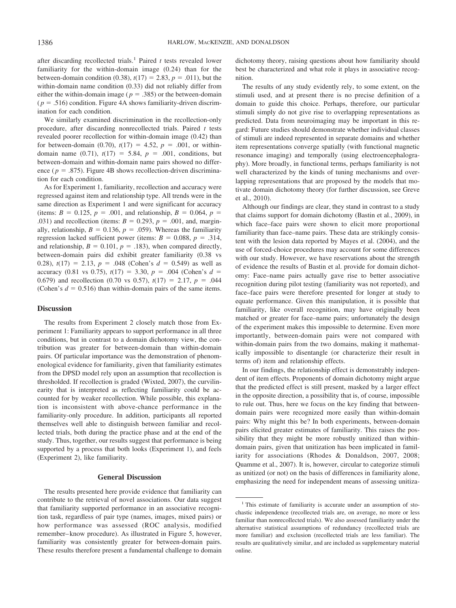after discarding recollected trials.<sup>1</sup> Paired  $t$  tests revealed lower familiarity for the within-domain image (0.24) than for the between-domain condition (0.38),  $t(17) = 2.83$ ,  $p = .011$ ), but the within-domain name condition (0.33) did not reliably differ from either the within-domain image ( $p = .385$ ) or the between-domain  $(p = .516)$  condition. Figure 4A shows familiarity-driven discrimination for each condition.

We similarly examined discrimination in the recollection-only procedure, after discarding nonrecollected trials. Paired *t* tests revealed poorer recollection for within-domain image (0.42) than for between-domain (0.70),  $t(17) = 4.52$ ,  $p = .001$ , or withindomain name  $(0.71)$ ,  $t(17) = 5.84$ ,  $p = .001$ , conditions, but between-domain and within-domain name pairs showed no difference ( $p = .875$ ). Figure 4B shows recollection-driven discrimination for each condition.

As for Experiment 1, familiarity, recollection and accuracy were regressed against item and relationship type. All trends were in the same direction as Experiment 1 and were significant for accuracy (items:  $B = 0.125$ ,  $p = .001$ , and relationship,  $B = 0.064$ ,  $p =$ .031) and recollection (items:  $B = 0.293$ ,  $p = .001$ , and, marginally, relationship,  $B = 0.136$ ,  $p = .059$ ). Whereas the familiarity regression lacked sufficient power (items:  $B = 0.088$ ,  $p = .314$ , and relationship,  $B = 0.101$ ,  $p = .183$ ), when compared directly, between-domain pairs did exhibit greater familiarity (0.38 vs 0.28),  $t(17) = 2.13$ ,  $p = .048$  (Cohen's  $d = 0.549$ ) as well as accuracy (0.81 vs 0.75),  $t(17) = 3.30$ ,  $p = .004$  (Cohen's  $d =$ 0.679) and recollection (0.70 vs 0.57),  $t(17) = 2.17$ ,  $p = .044$ (Cohen's  $d = 0.516$ ) than within-domain pairs of the same items.

## **Discussion**

The results from Experiment 2 closely match those from Experiment 1: Familiarity appears to support performance in all three conditions, but in contrast to a domain dichotomy view, the contribution was greater for between-domain than within-domain pairs. Of particular importance was the demonstration of phenomenological evidence for familiarity, given that familiarity estimates from the DPSD model rely upon an assumption that recollection is thresholded. If recollection is graded (Wixted, 2007), the curvilinearity that is interpreted as reflecting familiarity could be accounted for by weaker recollection. While possible, this explanation is inconsistent with above-chance performance in the familiarity-only procedure. In addition, participants all reported themselves well able to distinguish between familiar and recollected trials, both during the practice phase and at the end of the study. Thus, together, our results suggest that performance is being supported by a process that both looks (Experiment 1), and feels (Experiment 2), like familiarity.

# **General Discussion**

The results presented here provide evidence that familiarity can contribute to the retrieval of novel associations. Our data suggest that familiarity supported performance in an associative recognition task, regardless of pair type (names, images, mixed pairs) or how performance was assessed (ROC analysis, modified remember– know procedure). As illustrated in Figure 5, however, familiarity was consistently greater for between-domain pairs. These results therefore present a fundamental challenge to domain dichotomy theory, raising questions about how familiarity should best be characterized and what role it plays in associative recognition.

The results of any study evidently rely, to some extent, on the stimuli used, and at present there is no precise definition of a domain to guide this choice. Perhaps, therefore, our particular stimuli simply do not give rise to overlapping representations as predicted. Data from neuroimaging may be important in this regard: Future studies should demonstrate whether individual classes of stimuli are indeed represented in separate domains and whether item representations converge spatially (with functional magnetic resonance imaging) and temporally (using electroencephalography). More broadly, in functional terms, perhaps familiarity is not well characterized by the kinds of tuning mechanisms and overlapping representations that are proposed by the models that motivate domain dichotomy theory (for further discussion, see Greve et al., 2010).

Although our findings are clear, they stand in contrast to a study that claims support for domain dichotomy (Bastin et al., 2009), in which face–face pairs were shown to elicit more proportional familiarity than face–name pairs. These data are strikingly consistent with the lesion data reported by Mayes et al. (2004), and the use of forced-choice procedures may account for some differences with our study. However, we have reservations about the strength of evidence the results of Bastin et al. provide for domain dichotomy: Face–name pairs actually gave rise to better associative recognition during pilot testing (familiarity was not reported), and face–face pairs were therefore presented for longer at study to equate performance. Given this manipulation, it is possible that familiarity, like overall recognition, may have originally been matched or greater for face–name pairs; unfortunately the design of the experiment makes this impossible to determine. Even more importantly, between-domain pairs were not compared with within-domain pairs from the two domains, making it mathematically impossible to disentangle (or characterize their result in terms of) item and relationship effects.

In our findings, the relationship effect is demonstrably independent of item effects. Proponents of domain dichotomy might argue that the predicted effect is still present, masked by a larger effect in the opposite direction, a possibility that is, of course, impossible to rule out. Thus, here we focus on the key finding that betweendomain pairs were recognized more easily than within-domain pairs: Why might this be? In both experiments, between-domain pairs elicited greater estimates of familiarity. This raises the possibility that they might be more robustly unitized than withindomain pairs, given that unitization has been implicated in familiarity for associations (Rhodes & Donaldson, 2007, 2008; Quamme et al., 2007). It is, however, circular to categorize stimuli as unitized (or not) on the basis of differences in familiarity alone, emphasizing the need for independent means of assessing unitiza-

<sup>&</sup>lt;sup>1</sup> This estimate of familiarity is accurate under an assumption of stochastic independence (recollected trials are, on average, no more or less familiar than nonrecollected trials). We also assessed familiarity under the alternative statistical assumptions of redundancy (recollected trials are more familiar) and exclusion (recollected trials are less familiar). The results are qualitatively similar, and are included as supplementary material online.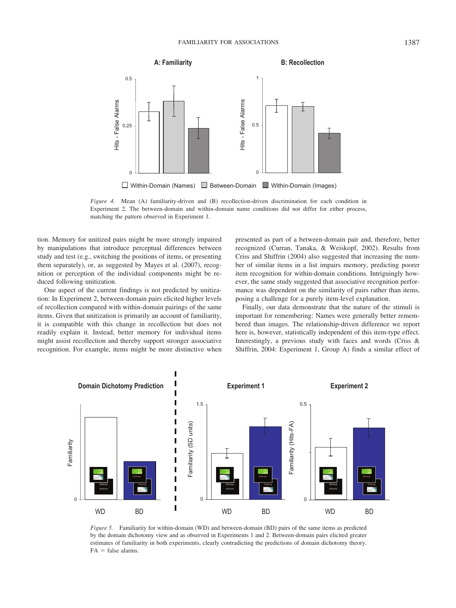

*Figure 4.* Mean (A) familiarity-driven and (B) recollection-driven discrimination for each condition in Experiment 2. The between-domain and within-domain name conditions did not differ for either process, matching the pattern observed in Experiment 1.

tion. Memory for unitized pairs might be more strongly impaired by manipulations that introduce perceptual differences between study and test (e.g., switching the positions of items, or presenting them separately), or, as suggested by Mayes et al. (2007), recognition or perception of the individual components might be reduced following unitization.

One aspect of the current findings is not predicted by unitization: In Experiment 2, between-domain pairs elicited higher levels of recollection compared with within-domain pairings of the same items. Given that unitization is primarily an account of familiarity, it is compatible with this change in recollection but does not readily explain it. Instead, better memory for individual items might assist recollection and thereby support stronger associative recognition. For example, items might be more distinctive when presented as part of a between-domain pair and, therefore, better recognized (Curran, Tanaka, & Weiskopf, 2002). Results from Criss and Shiffrin (2004) also suggested that increasing the number of similar items in a list impairs memory, predicting poorer item recognition for within-domain conditions. Intriguingly however, the same study suggested that associative recognition performance was dependent on the similarity of pairs rather than items, posing a challenge for a purely item-level explanation.

Finally, our data demonstrate that the nature of the stimuli is important for remembering: Names were generally better remembered than images. The relationship-driven difference we report here is, however, statistically independent of this item-type effect. Interestingly, a previous study with faces and words (Criss & Shiffrin, 2004: Experiment 1, Group A) finds a similar effect of



*Figure 5.* Familiarity for within-domain (WD) and between-domain (BD) pairs of the same items as predicted by the domain dichotomy view and as observed in Experiments 1 and 2. Between-domain pairs elicited greater estimates of familiarity in both experiments, clearly contradicting the predictions of domain dichotomy theory.  $FA = false$  alarms.